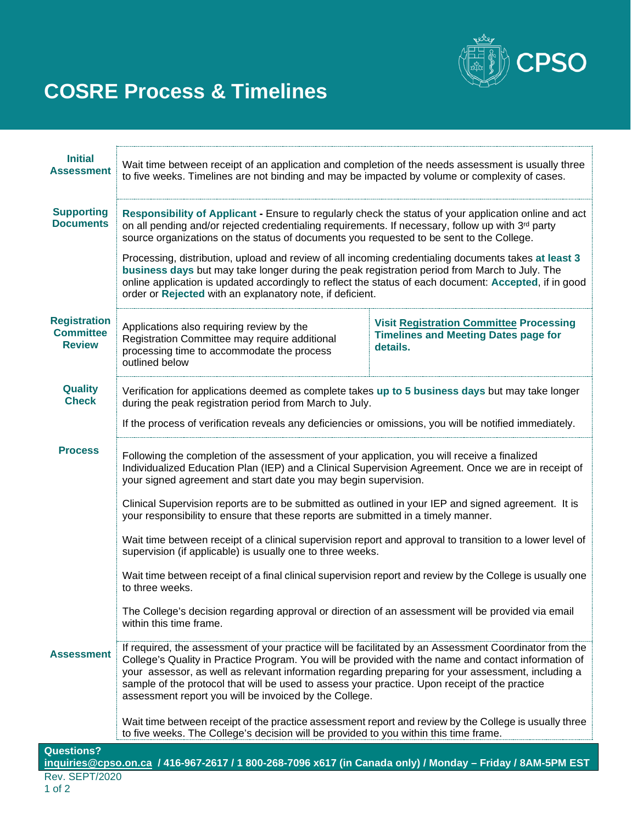

# **COSRE Process & Timelines**

| <b>Initial</b>                                                                                             | Wait time between receipt of an application and completion of the needs assessment is usually three                                                                                                                                                                                                                                                                                                                                                                                                                                                                                                                                                                                                |                                                                                                           |
|------------------------------------------------------------------------------------------------------------|----------------------------------------------------------------------------------------------------------------------------------------------------------------------------------------------------------------------------------------------------------------------------------------------------------------------------------------------------------------------------------------------------------------------------------------------------------------------------------------------------------------------------------------------------------------------------------------------------------------------------------------------------------------------------------------------------|-----------------------------------------------------------------------------------------------------------|
| <b>Assessment</b>                                                                                          | to five weeks. Timelines are not binding and may be impacted by volume or complexity of cases.                                                                                                                                                                                                                                                                                                                                                                                                                                                                                                                                                                                                     |                                                                                                           |
| <b>Supporting</b><br><b>Documents</b>                                                                      | Responsibility of Applicant - Ensure to regularly check the status of your application online and act<br>on all pending and/or rejected credentialing requirements. If necessary, follow up with 3 <sup>rd</sup> party<br>source organizations on the status of documents you requested to be sent to the College.<br>Processing, distribution, upload and review of all incoming credentialing documents takes at least 3<br>business days but may take longer during the peak registration period from March to July. The<br>online application is updated accordingly to reflect the status of each document: Accepted, if in good<br>order or Rejected with an explanatory note, if deficient. |                                                                                                           |
|                                                                                                            |                                                                                                                                                                                                                                                                                                                                                                                                                                                                                                                                                                                                                                                                                                    |                                                                                                           |
| <b>Registration</b><br><b>Committee</b><br><b>Review</b>                                                   | Applications also requiring review by the<br>Registration Committee may require additional<br>processing time to accommodate the process<br>outlined below                                                                                                                                                                                                                                                                                                                                                                                                                                                                                                                                         | <b>Visit Registration Committee Processing</b><br><b>Timelines and Meeting Dates page for</b><br>details. |
| <b>Quality</b><br><b>Check</b>                                                                             | Verification for applications deemed as complete takes up to 5 business days but may take longer<br>during the peak registration period from March to July.<br>If the process of verification reveals any deficiencies or omissions, you will be notified immediately.                                                                                                                                                                                                                                                                                                                                                                                                                             |                                                                                                           |
|                                                                                                            |                                                                                                                                                                                                                                                                                                                                                                                                                                                                                                                                                                                                                                                                                                    |                                                                                                           |
| <b>Process</b>                                                                                             | Following the completion of the assessment of your application, you will receive a finalized<br>Individualized Education Plan (IEP) and a Clinical Supervision Agreement. Once we are in receipt of<br>your signed agreement and start date you may begin supervision.                                                                                                                                                                                                                                                                                                                                                                                                                             |                                                                                                           |
|                                                                                                            | Clinical Supervision reports are to be submitted as outlined in your IEP and signed agreement. It is<br>your responsibility to ensure that these reports are submitted in a timely manner.                                                                                                                                                                                                                                                                                                                                                                                                                                                                                                         |                                                                                                           |
|                                                                                                            | Wait time between receipt of a clinical supervision report and approval to transition to a lower level of<br>supervision (if applicable) is usually one to three weeks.                                                                                                                                                                                                                                                                                                                                                                                                                                                                                                                            |                                                                                                           |
|                                                                                                            | Wait time between receipt of a final clinical supervision report and review by the College is usually one<br>to three weeks.<br>The College's decision regarding approval or direction of an assessment will be provided via email<br>within this time frame.                                                                                                                                                                                                                                                                                                                                                                                                                                      |                                                                                                           |
|                                                                                                            |                                                                                                                                                                                                                                                                                                                                                                                                                                                                                                                                                                                                                                                                                                    |                                                                                                           |
| <b>Assessment</b>                                                                                          | If required, the assessment of your practice will be facilitated by an Assessment Coordinator from the<br>College's Quality in Practice Program. You will be provided with the name and contact information of<br>your assessor, as well as relevant information regarding preparing for your assessment, including a<br>sample of the protocol that will be used to assess your practice. Upon receipt of the practice<br>assessment report you will be invoiced by the College.<br>Wait time between receipt of the practice assessment report and review by the College is usually three<br>to five weeks. The College's decision will be provided to you within this time frame.               |                                                                                                           |
|                                                                                                            |                                                                                                                                                                                                                                                                                                                                                                                                                                                                                                                                                                                                                                                                                                    |                                                                                                           |
| <b>Questions?</b>                                                                                          |                                                                                                                                                                                                                                                                                                                                                                                                                                                                                                                                                                                                                                                                                                    |                                                                                                           |
| inquiries@cpso.on.ca / 416-967-2617 / 1 800-268-7096 x617 (in Canada only) / Monday - Friday / 8AM-5PM EST |                                                                                                                                                                                                                                                                                                                                                                                                                                                                                                                                                                                                                                                                                                    |                                                                                                           |
| <b>Rev. SEPT/2020</b>                                                                                      |                                                                                                                                                                                                                                                                                                                                                                                                                                                                                                                                                                                                                                                                                                    |                                                                                                           |